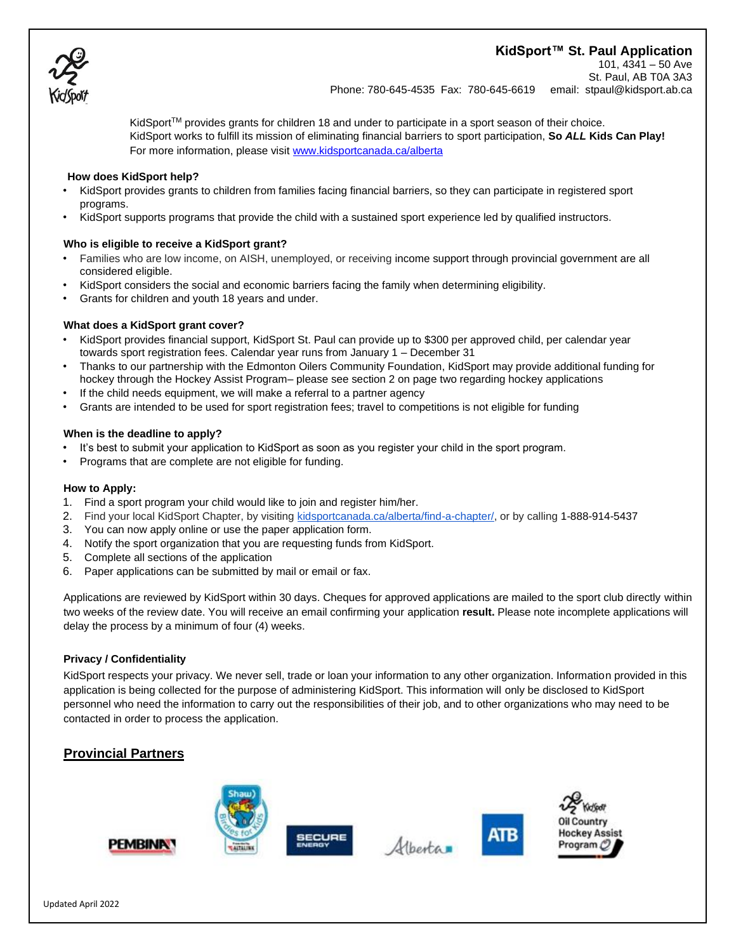# **KidSport™ St. Paul Application**



101, 4341 – 50 Ave St. Paul, AB T0A 3A3 Phone: 780-645-4535 Fax: 780-645-6619 email: stpaul@kidsport.ab.ca

KidSport<sup>TM</sup> provides grants for children 18 and under to participate in a sport season of their choice. KidSport works to fulfill its mission of eliminating financial barriers to sport participation, **So** *ALL* **Kids Can Play!**  For more information, please visi[t www.kidsportcanada.ca/alberta](file:///G:/2017%20applications/www.kidsportcanada.ca/alberta)

#### **How does KidSport help?**

- KidSport provides grants to children from families facing financial barriers, so they can participate in registered sport programs.
- KidSport supports programs that provide the child with a sustained sport experience led by qualified instructors.

#### **Who is eligible to receive a KidSport grant?**

- Families who are low income, on AISH, unemployed, or receiving income support through provincial government are all considered eligible.
- KidSport considers the social and economic barriers facing the family when determining eligibility.
- Grants for children and youth 18 years and under.

#### **What does a KidSport grant cover?**

- KidSport provides financial support, KidSport St. Paul can provide up to \$300 per approved child, per calendar year towards sport registration fees. Calendar year runs from January 1 – December 31
- Thanks to our partnership with the Edmonton Oilers Community Foundation, KidSport may provide additional funding for hockey through the Hockey Assist Program– please see section 2 on page two regarding hockey applications
- If the child needs equipment, we will make a referral to a partner agency
- Grants are intended to be used for sport registration fees; travel to competitions is not eligible for funding

#### **When is the deadline to apply?**

- It's best to submit your application to KidSport as soon as you register your child in the sport program.
- Programs that are complete are not eligible for funding.

#### **How to Apply:**

- 1. Find a sport program your child would like to join and register him/her.
- 2. Find your local KidSport Chapter, by visiting [kidsportcanada.ca/alberta/find-a-chapter/,](http://kidsportcanada.ca/alberta/find-a-chapter/) or by calling [1-888-914-5437](tel:(888)%20914-5437)
- 3. You can now apply online or use the paper application form.
- 4. Notify the sport organization that you are requesting funds from KidSport.
- 5. Complete all sections of the application
- 6. Paper applications can be submitted by mail or email or fax.

Applications are reviewed by KidSport within 30 days. Cheques for approved applications are mailed to the sport club directly within two weeks of the review date. You will receive an email confirming your application **result.** Please note incomplete applications will delay the process by a minimum of four (4) weeks.

#### **Privacy / Confidentiality**

KidSport respects your privacy. We never sell, trade or loan your information to any other organization. Information provided in this application is being collected for the purpose of administering KidSport. This information will only be disclosed to KidSport personnel who need the information to carry out the responsibilities of their job, and to other organizations who may need to be contacted in order to process the application.

## **Provincial Partners**